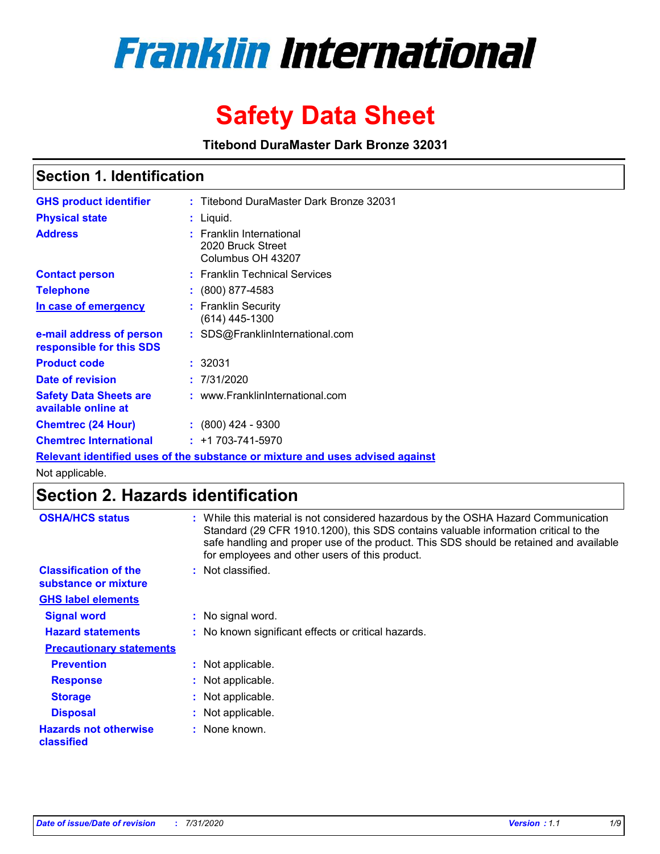

# **Safety Data Sheet**

**Titebond DuraMaster Dark Bronze 32031**

### **Section 1. Identification**

| <b>GHS product identifier</b>                        | : Titebond DuraMaster Dark Bronze 32031                                       |
|------------------------------------------------------|-------------------------------------------------------------------------------|
| <b>Physical state</b>                                | : Liquid.                                                                     |
| <b>Address</b>                                       | : Franklin International<br>2020 Bruck Street<br>Columbus OH 43207            |
| <b>Contact person</b>                                | : Franklin Technical Services                                                 |
| <b>Telephone</b>                                     | $\colon$ (800) 877-4583                                                       |
| In case of emergency                                 | : Franklin Security<br>(614) 445-1300                                         |
| e-mail address of person<br>responsible for this SDS | : SDS@FranklinInternational.com                                               |
| <b>Product code</b>                                  | : 32031                                                                       |
| Date of revision                                     | : 7/31/2020                                                                   |
| <b>Safety Data Sheets are</b><br>available online at | : www.FranklinInternational.com                                               |
| <b>Chemtrec (24 Hour)</b>                            | $\colon$ (800) 424 - 9300                                                     |
| <b>Chemtrec International</b>                        | $: +1703 - 741 - 5970$                                                        |
|                                                      | Relevant identified uses of the substance or mixture and uses advised against |

Not applicable.

## **Section 2. Hazards identification**

| <b>OSHA/HCS status</b>                               | : While this material is not considered hazardous by the OSHA Hazard Communication<br>Standard (29 CFR 1910.1200), this SDS contains valuable information critical to the<br>safe handling and proper use of the product. This SDS should be retained and available<br>for employees and other users of this product. |
|------------------------------------------------------|-----------------------------------------------------------------------------------------------------------------------------------------------------------------------------------------------------------------------------------------------------------------------------------------------------------------------|
| <b>Classification of the</b><br>substance or mixture | : Not classified.                                                                                                                                                                                                                                                                                                     |
| <b>GHS label elements</b>                            |                                                                                                                                                                                                                                                                                                                       |
| <b>Signal word</b>                                   | : No signal word.                                                                                                                                                                                                                                                                                                     |
| <b>Hazard statements</b>                             | : No known significant effects or critical hazards.                                                                                                                                                                                                                                                                   |
| <b>Precautionary statements</b>                      |                                                                                                                                                                                                                                                                                                                       |
| <b>Prevention</b>                                    | : Not applicable.                                                                                                                                                                                                                                                                                                     |
| <b>Response</b>                                      | : Not applicable.                                                                                                                                                                                                                                                                                                     |
| <b>Storage</b>                                       | : Not applicable.                                                                                                                                                                                                                                                                                                     |
| <b>Disposal</b>                                      | : Not applicable.                                                                                                                                                                                                                                                                                                     |
| <b>Hazards not otherwise</b><br>classified           | : None known.                                                                                                                                                                                                                                                                                                         |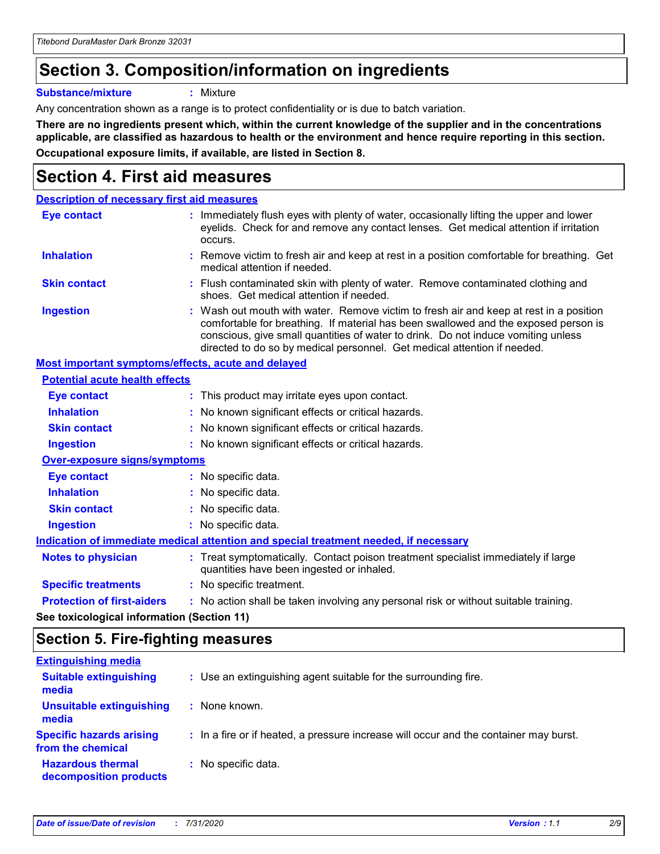## **Section 3. Composition/information on ingredients**

**Substance/mixture :** Mixture

Any concentration shown as a range is to protect confidentiality or is due to batch variation.

**There are no ingredients present which, within the current knowledge of the supplier and in the concentrations applicable, are classified as hazardous to health or the environment and hence require reporting in this section. Occupational exposure limits, if available, are listed in Section 8.**

## **Section 4. First aid measures**

| <b>Description of necessary first aid measures</b>        |                                                                                                                                                                                                                                                                                                                                                |
|-----------------------------------------------------------|------------------------------------------------------------------------------------------------------------------------------------------------------------------------------------------------------------------------------------------------------------------------------------------------------------------------------------------------|
| <b>Eye contact</b>                                        | : Immediately flush eyes with plenty of water, occasionally lifting the upper and lower<br>eyelids. Check for and remove any contact lenses. Get medical attention if irritation<br>occurs.                                                                                                                                                    |
| <b>Inhalation</b>                                         | : Remove victim to fresh air and keep at rest in a position comfortable for breathing. Get<br>medical attention if needed.                                                                                                                                                                                                                     |
| <b>Skin contact</b>                                       | : Flush contaminated skin with plenty of water. Remove contaminated clothing and<br>shoes. Get medical attention if needed.                                                                                                                                                                                                                    |
| <b>Ingestion</b>                                          | : Wash out mouth with water. Remove victim to fresh air and keep at rest in a position<br>comfortable for breathing. If material has been swallowed and the exposed person is<br>conscious, give small quantities of water to drink. Do not induce vomiting unless<br>directed to do so by medical personnel. Get medical attention if needed. |
| <b>Most important symptoms/effects, acute and delayed</b> |                                                                                                                                                                                                                                                                                                                                                |
| <b>Potential acute health effects</b>                     |                                                                                                                                                                                                                                                                                                                                                |
| <b>Eye contact</b>                                        | : This product may irritate eyes upon contact.                                                                                                                                                                                                                                                                                                 |
| <b>Inhalation</b>                                         | : No known significant effects or critical hazards.                                                                                                                                                                                                                                                                                            |
| <b>Skin contact</b>                                       | : No known significant effects or critical hazards.                                                                                                                                                                                                                                                                                            |
| <b>Ingestion</b>                                          | : No known significant effects or critical hazards.                                                                                                                                                                                                                                                                                            |
| <b>Over-exposure signs/symptoms</b>                       |                                                                                                                                                                                                                                                                                                                                                |
| Eye contact                                               | : No specific data.                                                                                                                                                                                                                                                                                                                            |
| <b>Inhalation</b>                                         | : No specific data.                                                                                                                                                                                                                                                                                                                            |
| <b>Skin contact</b>                                       | : No specific data.                                                                                                                                                                                                                                                                                                                            |
| <b>Ingestion</b>                                          | : No specific data.                                                                                                                                                                                                                                                                                                                            |
|                                                           | Indication of immediate medical attention and special treatment needed, if necessary                                                                                                                                                                                                                                                           |
| <b>Notes to physician</b>                                 | : Treat symptomatically. Contact poison treatment specialist immediately if large<br>quantities have been ingested or inhaled.                                                                                                                                                                                                                 |
| <b>Specific treatments</b>                                | : No specific treatment.                                                                                                                                                                                                                                                                                                                       |
| <b>Protection of first-aiders</b>                         | : No action shall be taken involving any personal risk or without suitable training.                                                                                                                                                                                                                                                           |
|                                                           |                                                                                                                                                                                                                                                                                                                                                |

**See toxicological information (Section 11)**

### **Section 5. Fire-fighting measures**

| <b>Extinguishing media</b>                           |                                                                                       |
|------------------------------------------------------|---------------------------------------------------------------------------------------|
| <b>Suitable extinguishing</b><br>media               | : Use an extinguishing agent suitable for the surrounding fire.                       |
| <b>Unsuitable extinguishing</b><br>media             | : None known.                                                                         |
| <b>Specific hazards arising</b><br>from the chemical | : In a fire or if heated, a pressure increase will occur and the container may burst. |
| <b>Hazardous thermal</b><br>decomposition products   | : No specific data.                                                                   |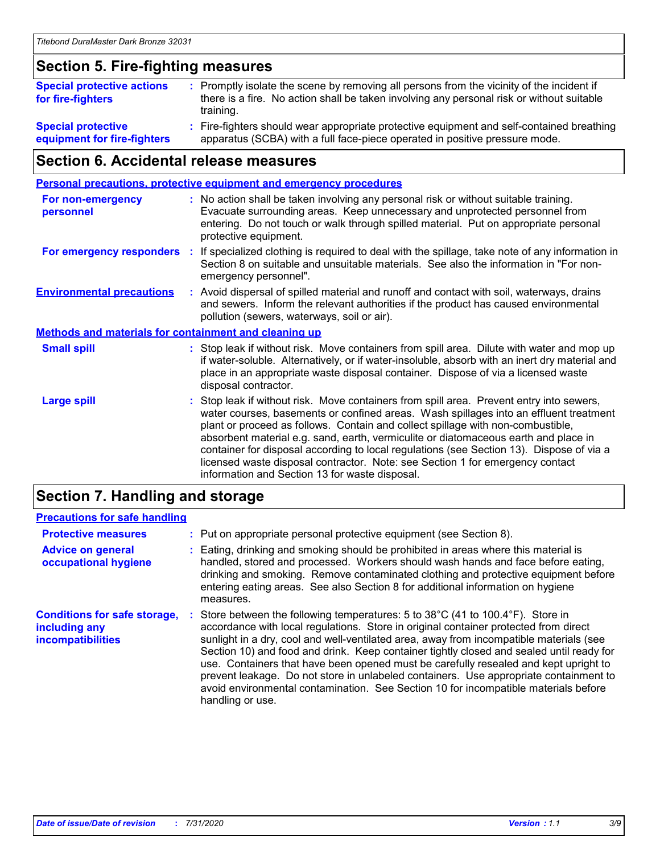### **Section 5. Fire-fighting measures**

| <b>Special protective actions</b><br>for fire-fighters | : Promptly isolate the scene by removing all persons from the vicinity of the incident if<br>there is a fire. No action shall be taken involving any personal risk or without suitable<br>training. |
|--------------------------------------------------------|-----------------------------------------------------------------------------------------------------------------------------------------------------------------------------------------------------|
| <b>Special protective</b>                              | Fire-fighters should wear appropriate protective equipment and self-contained breathing                                                                                                             |
| equipment for fire-fighters                            | apparatus (SCBA) with a full face-piece operated in positive pressure mode.                                                                                                                         |

### **Section 6. Accidental release measures**

|                                                              | <b>Personal precautions, protective equipment and emergency procedures</b>                                                                                                                                                                                                                                                                                                                                                                                                                                                                                                                 |
|--------------------------------------------------------------|--------------------------------------------------------------------------------------------------------------------------------------------------------------------------------------------------------------------------------------------------------------------------------------------------------------------------------------------------------------------------------------------------------------------------------------------------------------------------------------------------------------------------------------------------------------------------------------------|
| <b>For non-emergency</b><br>personnel                        | : No action shall be taken involving any personal risk or without suitable training.<br>Evacuate surrounding areas. Keep unnecessary and unprotected personnel from<br>entering. Do not touch or walk through spilled material. Put on appropriate personal<br>protective equipment.                                                                                                                                                                                                                                                                                                       |
| For emergency responders                                     | If specialized clothing is required to deal with the spillage, take note of any information in<br>Section 8 on suitable and unsuitable materials. See also the information in "For non-<br>emergency personnel".                                                                                                                                                                                                                                                                                                                                                                           |
| <b>Environmental precautions</b>                             | : Avoid dispersal of spilled material and runoff and contact with soil, waterways, drains<br>and sewers. Inform the relevant authorities if the product has caused environmental<br>pollution (sewers, waterways, soil or air).                                                                                                                                                                                                                                                                                                                                                            |
| <b>Methods and materials for containment and cleaning up</b> |                                                                                                                                                                                                                                                                                                                                                                                                                                                                                                                                                                                            |
| <b>Small spill</b>                                           | : Stop leak if without risk. Move containers from spill area. Dilute with water and mop up<br>if water-soluble. Alternatively, or if water-insoluble, absorb with an inert dry material and<br>place in an appropriate waste disposal container. Dispose of via a licensed waste<br>disposal contractor.                                                                                                                                                                                                                                                                                   |
| <b>Large spill</b>                                           | : Stop leak if without risk. Move containers from spill area. Prevent entry into sewers,<br>water courses, basements or confined areas. Wash spillages into an effluent treatment<br>plant or proceed as follows. Contain and collect spillage with non-combustible,<br>absorbent material e.g. sand, earth, vermiculite or diatomaceous earth and place in<br>container for disposal according to local regulations (see Section 13). Dispose of via a<br>licensed waste disposal contractor. Note: see Section 1 for emergency contact<br>information and Section 13 for waste disposal. |
|                                                              |                                                                                                                                                                                                                                                                                                                                                                                                                                                                                                                                                                                            |

### **Section 7. Handling and storage**

### **Precautions for safe handling**

| <b>Protective measures</b>                                                | : Put on appropriate personal protective equipment (see Section 8).                                                                                                                                                                                                                                                                                                                                                                                                                                                                                                                                                                                                           |
|---------------------------------------------------------------------------|-------------------------------------------------------------------------------------------------------------------------------------------------------------------------------------------------------------------------------------------------------------------------------------------------------------------------------------------------------------------------------------------------------------------------------------------------------------------------------------------------------------------------------------------------------------------------------------------------------------------------------------------------------------------------------|
| <b>Advice on general</b><br>occupational hygiene                          | Eating, drinking and smoking should be prohibited in areas where this material is<br>handled, stored and processed. Workers should wash hands and face before eating,<br>drinking and smoking. Remove contaminated clothing and protective equipment before<br>entering eating areas. See also Section 8 for additional information on hygiene<br>measures.                                                                                                                                                                                                                                                                                                                   |
| <b>Conditions for safe storage,</b><br>including any<br>incompatibilities | Store between the following temperatures: 5 to $38^{\circ}$ C (41 to 100.4 $^{\circ}$ F). Store in<br>accordance with local regulations. Store in original container protected from direct<br>sunlight in a dry, cool and well-ventilated area, away from incompatible materials (see<br>Section 10) and food and drink. Keep container tightly closed and sealed until ready for<br>use. Containers that have been opened must be carefully resealed and kept upright to<br>prevent leakage. Do not store in unlabeled containers. Use appropriate containment to<br>avoid environmental contamination. See Section 10 for incompatible materials before<br>handling or use. |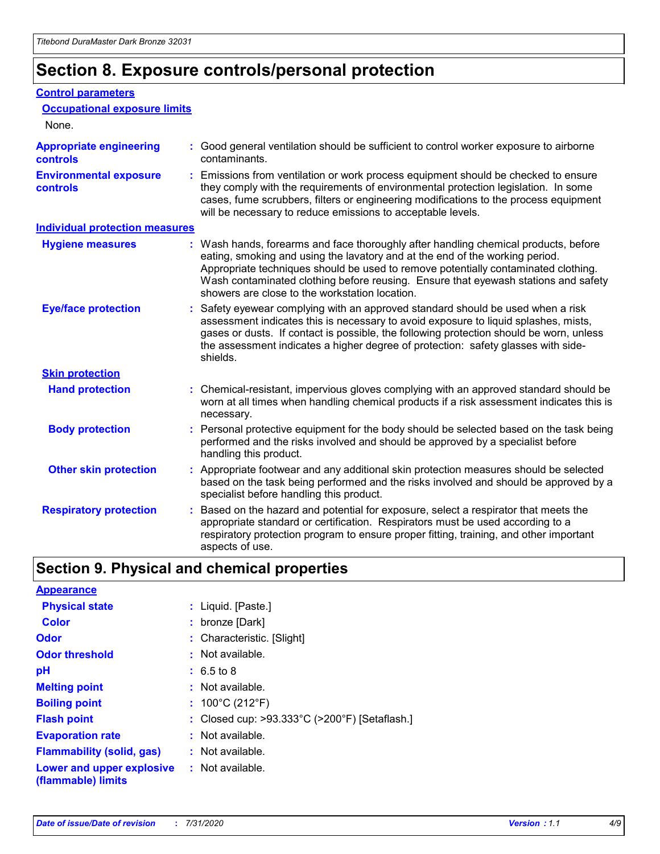## **Section 8. Exposure controls/personal protection**

#### **Control parameters**

| <b>Occupational exposure limits</b>               |                                                                                                                                                                                                                                                                                                                                                                                                   |
|---------------------------------------------------|---------------------------------------------------------------------------------------------------------------------------------------------------------------------------------------------------------------------------------------------------------------------------------------------------------------------------------------------------------------------------------------------------|
| None.                                             |                                                                                                                                                                                                                                                                                                                                                                                                   |
| <b>Appropriate engineering</b><br><b>controls</b> | : Good general ventilation should be sufficient to control worker exposure to airborne<br>contaminants.                                                                                                                                                                                                                                                                                           |
| <b>Environmental exposure</b><br><b>controls</b>  | : Emissions from ventilation or work process equipment should be checked to ensure<br>they comply with the requirements of environmental protection legislation. In some<br>cases, fume scrubbers, filters or engineering modifications to the process equipment<br>will be necessary to reduce emissions to acceptable levels.                                                                   |
| <b>Individual protection measures</b>             |                                                                                                                                                                                                                                                                                                                                                                                                   |
| <b>Hygiene measures</b>                           | : Wash hands, forearms and face thoroughly after handling chemical products, before<br>eating, smoking and using the lavatory and at the end of the working period.<br>Appropriate techniques should be used to remove potentially contaminated clothing.<br>Wash contaminated clothing before reusing. Ensure that eyewash stations and safety<br>showers are close to the workstation location. |
| <b>Eye/face protection</b>                        | : Safety eyewear complying with an approved standard should be used when a risk<br>assessment indicates this is necessary to avoid exposure to liquid splashes, mists,<br>gases or dusts. If contact is possible, the following protection should be worn, unless<br>the assessment indicates a higher degree of protection: safety glasses with side-<br>shields.                                |
| <b>Skin protection</b>                            |                                                                                                                                                                                                                                                                                                                                                                                                   |
| <b>Hand protection</b>                            | : Chemical-resistant, impervious gloves complying with an approved standard should be<br>worn at all times when handling chemical products if a risk assessment indicates this is<br>necessary.                                                                                                                                                                                                   |
| <b>Body protection</b>                            | : Personal protective equipment for the body should be selected based on the task being<br>performed and the risks involved and should be approved by a specialist before<br>handling this product.                                                                                                                                                                                               |
| <b>Other skin protection</b>                      | : Appropriate footwear and any additional skin protection measures should be selected<br>based on the task being performed and the risks involved and should be approved by a<br>specialist before handling this product.                                                                                                                                                                         |
| <b>Respiratory protection</b>                     | Based on the hazard and potential for exposure, select a respirator that meets the<br>appropriate standard or certification. Respirators must be used according to a<br>respiratory protection program to ensure proper fitting, training, and other important<br>aspects of use.                                                                                                                 |

## **Section 9. Physical and chemical properties**

| <b>Appearance</b>                                                       |                                               |
|-------------------------------------------------------------------------|-----------------------------------------------|
| <b>Physical state</b>                                                   | : Liquid. [Paste.]                            |
| <b>Color</b>                                                            | : bronze [Dark]                               |
| Odor                                                                    | : Characteristic. [Slight]                    |
| <b>Odor threshold</b>                                                   | : Not available.                              |
| рH                                                                      | $: 6.5 \text{ to } 8$                         |
| <b>Melting point</b>                                                    | $:$ Not available.                            |
| <b>Boiling point</b>                                                    | : $100^{\circ}$ C (212 $^{\circ}$ F)          |
| <b>Flash point</b>                                                      | : Closed cup: >93.333°C (>200°F) [Setaflash.] |
| <b>Evaporation rate</b>                                                 | $:$ Not available.                            |
| <b>Flammability (solid, gas)</b>                                        | : Not available.                              |
| <b>Lower and upper explosive : Not available.</b><br>(flammable) limits |                                               |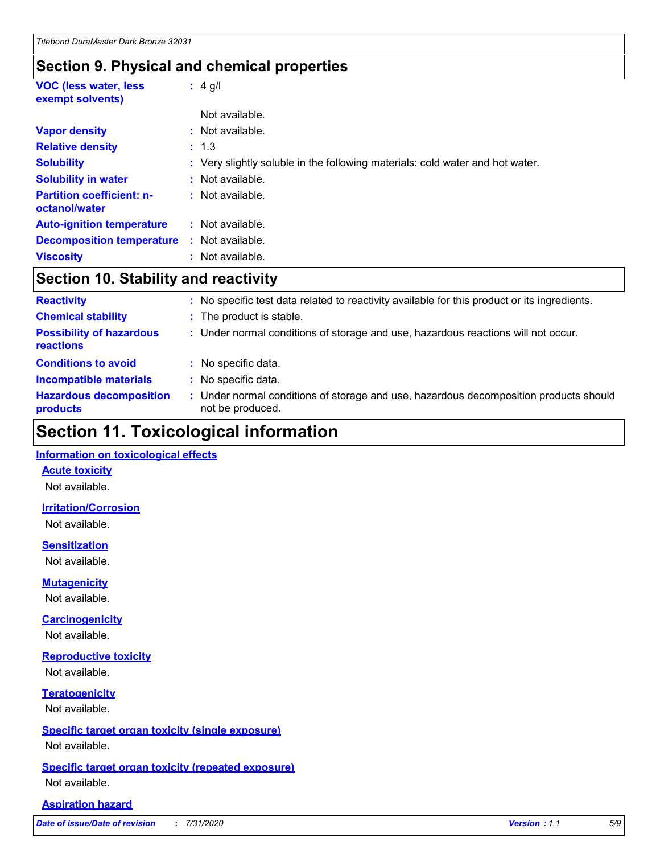### **Section 9. Physical and chemical properties**

| <b>VOC (less water, less)</b><br>exempt solvents) | : $4$ g/l                                                                     |
|---------------------------------------------------|-------------------------------------------------------------------------------|
|                                                   | Not available.                                                                |
| <b>Vapor density</b>                              | $:$ Not available.                                                            |
| <b>Relative density</b>                           | : 1.3                                                                         |
| <b>Solubility</b>                                 | : Very slightly soluble in the following materials: cold water and hot water. |
| <b>Solubility in water</b>                        | Not available.                                                                |
| <b>Partition coefficient: n-</b><br>octanol/water | : Not available.                                                              |
| <b>Auto-ignition temperature</b>                  | $:$ Not available.                                                            |
| <b>Decomposition temperature</b>                  | Not available.                                                                |
| <b>Viscosity</b>                                  | : Not available.                                                              |

### **Section 10. Stability and reactivity**

| <b>Reactivity</b>                            | : No specific test data related to reactivity available for this product or its ingredients.              |
|----------------------------------------------|-----------------------------------------------------------------------------------------------------------|
| <b>Chemical stability</b>                    | : The product is stable.                                                                                  |
| <b>Possibility of hazardous</b><br>reactions | : Under normal conditions of storage and use, hazardous reactions will not occur.                         |
| <b>Conditions to avoid</b>                   | : No specific data.                                                                                       |
| <b>Incompatible materials</b>                | : No specific data.                                                                                       |
| <b>Hazardous decomposition</b><br>products   | : Under normal conditions of storage and use, hazardous decomposition products should<br>not be produced. |

## **Section 11. Toxicological information**

#### **Information on toxicological effects**

#### **Acute toxicity**

Not available.

#### **Irritation/Corrosion**

Not available.

#### **Sensitization**

Not available.

#### **Mutagenicity**

Not available.

#### **Carcinogenicity**

Not available.

#### **Reproductive toxicity**

Not available.

### **Teratogenicity**

Not available.

#### **Specific target organ toxicity (single exposure)**

Not available.

#### **Specific target organ toxicity (repeated exposure)** Not available.

#### **Aspiration hazard**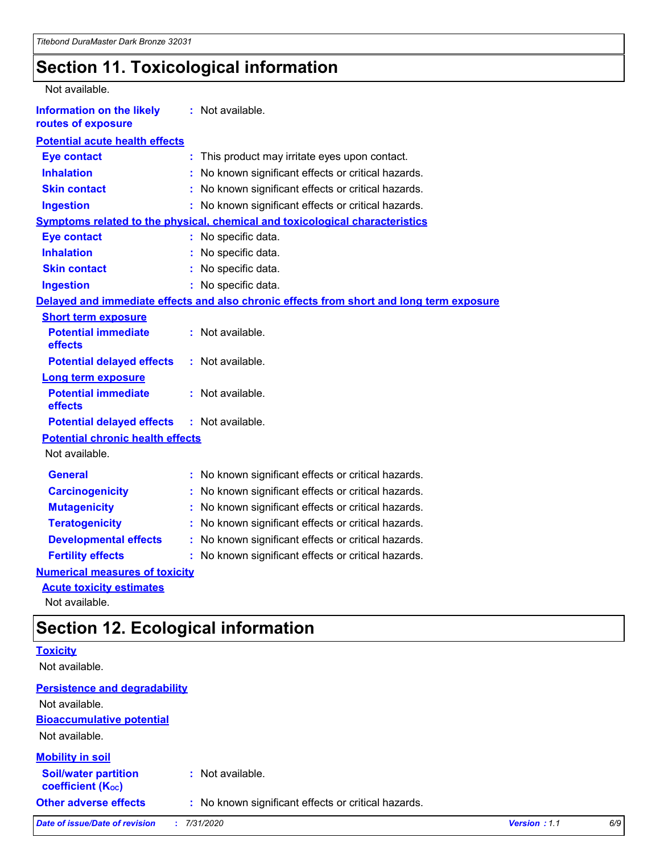## **Section 11. Toxicological information**

| <b>Information on the likely</b><br>: Not available.<br>routes of exposure<br><b>Potential acute health effects</b><br><b>Eye contact</b><br>: This product may irritate eyes upon contact.<br><b>Inhalation</b><br>No known significant effects or critical hazards.<br><b>Skin contact</b><br>: No known significant effects or critical hazards.<br>: No known significant effects or critical hazards.<br><b>Ingestion</b><br><b>Symptoms related to the physical, chemical and toxicological characteristics</b><br>: No specific data.<br><b>Eye contact</b><br><b>Inhalation</b><br>: No specific data.<br>: No specific data.<br><b>Skin contact</b><br><b>Ingestion</b><br>: No specific data.<br>Delayed and immediate effects and also chronic effects from short and long term exposure<br><b>Short term exposure</b><br><b>Potential immediate</b><br>: Not available.<br>effects<br>: Not available.<br><b>Potential delayed effects</b><br><b>Long term exposure</b><br><b>Potential immediate</b><br>: Not available.<br>effects<br><b>Potential delayed effects</b><br>: Not available.<br><b>Potential chronic health effects</b><br>Not available.<br><b>General</b><br>: No known significant effects or critical hazards.<br><b>Carcinogenicity</b><br>No known significant effects or critical hazards.<br><b>Mutagenicity</b><br>No known significant effects or critical hazards.<br><b>Teratogenicity</b><br>No known significant effects or critical hazards.<br><b>Developmental effects</b><br>No known significant effects or critical hazards.<br><b>Fertility effects</b><br>: No known significant effects or critical hazards.<br><b>Numerical measures of toxicity</b><br><b>Acute toxicity estimates</b> | Not available. |  |
|---------------------------------------------------------------------------------------------------------------------------------------------------------------------------------------------------------------------------------------------------------------------------------------------------------------------------------------------------------------------------------------------------------------------------------------------------------------------------------------------------------------------------------------------------------------------------------------------------------------------------------------------------------------------------------------------------------------------------------------------------------------------------------------------------------------------------------------------------------------------------------------------------------------------------------------------------------------------------------------------------------------------------------------------------------------------------------------------------------------------------------------------------------------------------------------------------------------------------------------------------------------------------------------------------------------------------------------------------------------------------------------------------------------------------------------------------------------------------------------------------------------------------------------------------------------------------------------------------------------------------------------------------------------------------------------------------------------------------------------------|----------------|--|
|                                                                                                                                                                                                                                                                                                                                                                                                                                                                                                                                                                                                                                                                                                                                                                                                                                                                                                                                                                                                                                                                                                                                                                                                                                                                                                                                                                                                                                                                                                                                                                                                                                                                                                                                             |                |  |
|                                                                                                                                                                                                                                                                                                                                                                                                                                                                                                                                                                                                                                                                                                                                                                                                                                                                                                                                                                                                                                                                                                                                                                                                                                                                                                                                                                                                                                                                                                                                                                                                                                                                                                                                             |                |  |
|                                                                                                                                                                                                                                                                                                                                                                                                                                                                                                                                                                                                                                                                                                                                                                                                                                                                                                                                                                                                                                                                                                                                                                                                                                                                                                                                                                                                                                                                                                                                                                                                                                                                                                                                             |                |  |
|                                                                                                                                                                                                                                                                                                                                                                                                                                                                                                                                                                                                                                                                                                                                                                                                                                                                                                                                                                                                                                                                                                                                                                                                                                                                                                                                                                                                                                                                                                                                                                                                                                                                                                                                             |                |  |
|                                                                                                                                                                                                                                                                                                                                                                                                                                                                                                                                                                                                                                                                                                                                                                                                                                                                                                                                                                                                                                                                                                                                                                                                                                                                                                                                                                                                                                                                                                                                                                                                                                                                                                                                             |                |  |
|                                                                                                                                                                                                                                                                                                                                                                                                                                                                                                                                                                                                                                                                                                                                                                                                                                                                                                                                                                                                                                                                                                                                                                                                                                                                                                                                                                                                                                                                                                                                                                                                                                                                                                                                             |                |  |
|                                                                                                                                                                                                                                                                                                                                                                                                                                                                                                                                                                                                                                                                                                                                                                                                                                                                                                                                                                                                                                                                                                                                                                                                                                                                                                                                                                                                                                                                                                                                                                                                                                                                                                                                             |                |  |
|                                                                                                                                                                                                                                                                                                                                                                                                                                                                                                                                                                                                                                                                                                                                                                                                                                                                                                                                                                                                                                                                                                                                                                                                                                                                                                                                                                                                                                                                                                                                                                                                                                                                                                                                             |                |  |
|                                                                                                                                                                                                                                                                                                                                                                                                                                                                                                                                                                                                                                                                                                                                                                                                                                                                                                                                                                                                                                                                                                                                                                                                                                                                                                                                                                                                                                                                                                                                                                                                                                                                                                                                             |                |  |
|                                                                                                                                                                                                                                                                                                                                                                                                                                                                                                                                                                                                                                                                                                                                                                                                                                                                                                                                                                                                                                                                                                                                                                                                                                                                                                                                                                                                                                                                                                                                                                                                                                                                                                                                             |                |  |
|                                                                                                                                                                                                                                                                                                                                                                                                                                                                                                                                                                                                                                                                                                                                                                                                                                                                                                                                                                                                                                                                                                                                                                                                                                                                                                                                                                                                                                                                                                                                                                                                                                                                                                                                             |                |  |
|                                                                                                                                                                                                                                                                                                                                                                                                                                                                                                                                                                                                                                                                                                                                                                                                                                                                                                                                                                                                                                                                                                                                                                                                                                                                                                                                                                                                                                                                                                                                                                                                                                                                                                                                             |                |  |
|                                                                                                                                                                                                                                                                                                                                                                                                                                                                                                                                                                                                                                                                                                                                                                                                                                                                                                                                                                                                                                                                                                                                                                                                                                                                                                                                                                                                                                                                                                                                                                                                                                                                                                                                             |                |  |
|                                                                                                                                                                                                                                                                                                                                                                                                                                                                                                                                                                                                                                                                                                                                                                                                                                                                                                                                                                                                                                                                                                                                                                                                                                                                                                                                                                                                                                                                                                                                                                                                                                                                                                                                             |                |  |
|                                                                                                                                                                                                                                                                                                                                                                                                                                                                                                                                                                                                                                                                                                                                                                                                                                                                                                                                                                                                                                                                                                                                                                                                                                                                                                                                                                                                                                                                                                                                                                                                                                                                                                                                             |                |  |
|                                                                                                                                                                                                                                                                                                                                                                                                                                                                                                                                                                                                                                                                                                                                                                                                                                                                                                                                                                                                                                                                                                                                                                                                                                                                                                                                                                                                                                                                                                                                                                                                                                                                                                                                             |                |  |
|                                                                                                                                                                                                                                                                                                                                                                                                                                                                                                                                                                                                                                                                                                                                                                                                                                                                                                                                                                                                                                                                                                                                                                                                                                                                                                                                                                                                                                                                                                                                                                                                                                                                                                                                             |                |  |
|                                                                                                                                                                                                                                                                                                                                                                                                                                                                                                                                                                                                                                                                                                                                                                                                                                                                                                                                                                                                                                                                                                                                                                                                                                                                                                                                                                                                                                                                                                                                                                                                                                                                                                                                             |                |  |
|                                                                                                                                                                                                                                                                                                                                                                                                                                                                                                                                                                                                                                                                                                                                                                                                                                                                                                                                                                                                                                                                                                                                                                                                                                                                                                                                                                                                                                                                                                                                                                                                                                                                                                                                             |                |  |
|                                                                                                                                                                                                                                                                                                                                                                                                                                                                                                                                                                                                                                                                                                                                                                                                                                                                                                                                                                                                                                                                                                                                                                                                                                                                                                                                                                                                                                                                                                                                                                                                                                                                                                                                             |                |  |
|                                                                                                                                                                                                                                                                                                                                                                                                                                                                                                                                                                                                                                                                                                                                                                                                                                                                                                                                                                                                                                                                                                                                                                                                                                                                                                                                                                                                                                                                                                                                                                                                                                                                                                                                             |                |  |
|                                                                                                                                                                                                                                                                                                                                                                                                                                                                                                                                                                                                                                                                                                                                                                                                                                                                                                                                                                                                                                                                                                                                                                                                                                                                                                                                                                                                                                                                                                                                                                                                                                                                                                                                             |                |  |
|                                                                                                                                                                                                                                                                                                                                                                                                                                                                                                                                                                                                                                                                                                                                                                                                                                                                                                                                                                                                                                                                                                                                                                                                                                                                                                                                                                                                                                                                                                                                                                                                                                                                                                                                             |                |  |
|                                                                                                                                                                                                                                                                                                                                                                                                                                                                                                                                                                                                                                                                                                                                                                                                                                                                                                                                                                                                                                                                                                                                                                                                                                                                                                                                                                                                                                                                                                                                                                                                                                                                                                                                             |                |  |
|                                                                                                                                                                                                                                                                                                                                                                                                                                                                                                                                                                                                                                                                                                                                                                                                                                                                                                                                                                                                                                                                                                                                                                                                                                                                                                                                                                                                                                                                                                                                                                                                                                                                                                                                             |                |  |
|                                                                                                                                                                                                                                                                                                                                                                                                                                                                                                                                                                                                                                                                                                                                                                                                                                                                                                                                                                                                                                                                                                                                                                                                                                                                                                                                                                                                                                                                                                                                                                                                                                                                                                                                             |                |  |
|                                                                                                                                                                                                                                                                                                                                                                                                                                                                                                                                                                                                                                                                                                                                                                                                                                                                                                                                                                                                                                                                                                                                                                                                                                                                                                                                                                                                                                                                                                                                                                                                                                                                                                                                             |                |  |
|                                                                                                                                                                                                                                                                                                                                                                                                                                                                                                                                                                                                                                                                                                                                                                                                                                                                                                                                                                                                                                                                                                                                                                                                                                                                                                                                                                                                                                                                                                                                                                                                                                                                                                                                             |                |  |

Not available.

## **Section 12. Ecological information**

| <b>Toxicity</b>                                         |                                                     |              |     |
|---------------------------------------------------------|-----------------------------------------------------|--------------|-----|
| Not available.                                          |                                                     |              |     |
| <b>Persistence and degradability</b>                    |                                                     |              |     |
| Not available.                                          |                                                     |              |     |
| <b>Bioaccumulative potential</b>                        |                                                     |              |     |
| Not available.                                          |                                                     |              |     |
| <b>Mobility in soil</b>                                 |                                                     |              |     |
| <b>Soil/water partition</b><br><b>coefficient (Koc)</b> | : Not available.                                    |              |     |
| <b>Other adverse effects</b>                            | : No known significant effects or critical hazards. |              |     |
| <b>Date of issue/Date of revision</b>                   | 7/31/2020                                           | Version: 1.1 | 6/9 |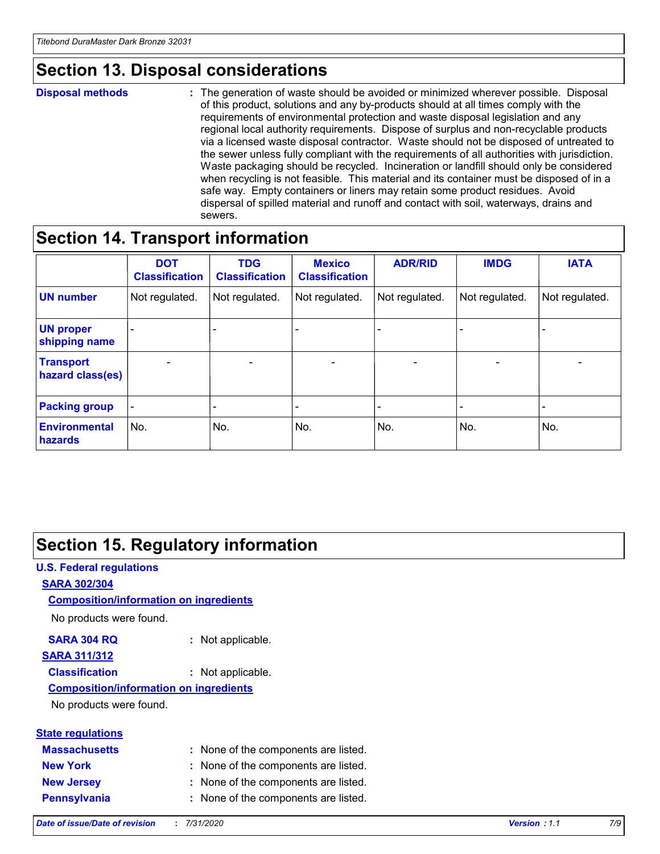## **Section 13. Disposal considerations**

#### **Disposal methods :**

The generation of waste should be avoided or minimized wherever possible. Disposal of this product, solutions and any by-products should at all times comply with the requirements of environmental protection and waste disposal legislation and any regional local authority requirements. Dispose of surplus and non-recyclable products via a licensed waste disposal contractor. Waste should not be disposed of untreated to the sewer unless fully compliant with the requirements of all authorities with jurisdiction. Waste packaging should be recycled. Incineration or landfill should only be considered when recycling is not feasible. This material and its container must be disposed of in a safe way. Empty containers or liners may retain some product residues. Avoid dispersal of spilled material and runoff and contact with soil, waterways, drains and sewers.

### **Section 14. Transport information**

|                                      | <b>DOT</b><br><b>Classification</b> | <b>TDG</b><br><b>Classification</b> | <b>Mexico</b><br><b>Classification</b> | <b>ADR/RID</b>           | <b>IMDG</b>              | <b>IATA</b>                  |
|--------------------------------------|-------------------------------------|-------------------------------------|----------------------------------------|--------------------------|--------------------------|------------------------------|
| <b>UN number</b>                     | Not regulated.                      | Not regulated.                      | Not regulated.                         | Not regulated.           | Not regulated.           | Not regulated.               |
| <b>UN proper</b><br>shipping name    |                                     | $\overline{\phantom{0}}$            |                                        |                          |                          | $\qquad \qquad \blacksquare$ |
| <b>Transport</b><br>hazard class(es) | $\blacksquare$                      | $\overline{\phantom{0}}$            | $\overline{\phantom{a}}$               | $\overline{\phantom{0}}$ | $\overline{\phantom{a}}$ | $\overline{\phantom{a}}$     |
| <b>Packing group</b>                 | $\overline{\phantom{a}}$            |                                     |                                        | -                        |                          | -                            |
| <b>Environmental</b><br>hazards      | No.                                 | No.                                 | No.                                    | No.                      | No.                      | No.                          |

### **Section 15. Regulatory information**

#### **U.S. Federal regulations SARA 302/304** No products were found. **Composition/information on ingredients**

#### **SARA 304 RQ :** Not applicable.

### **SARA 311/312**

**Classification :** Not applicable.

#### **Composition/information on ingredients**

No products were found.

| <b>State regulations</b> |                                      |
|--------------------------|--------------------------------------|
| <b>Massachusetts</b>     | : None of the components are listed. |
| <b>New York</b>          | : None of the components are listed. |
| <b>New Jersey</b>        | : None of the components are listed. |
| <b>Pennsylvania</b>      | : None of the components are listed. |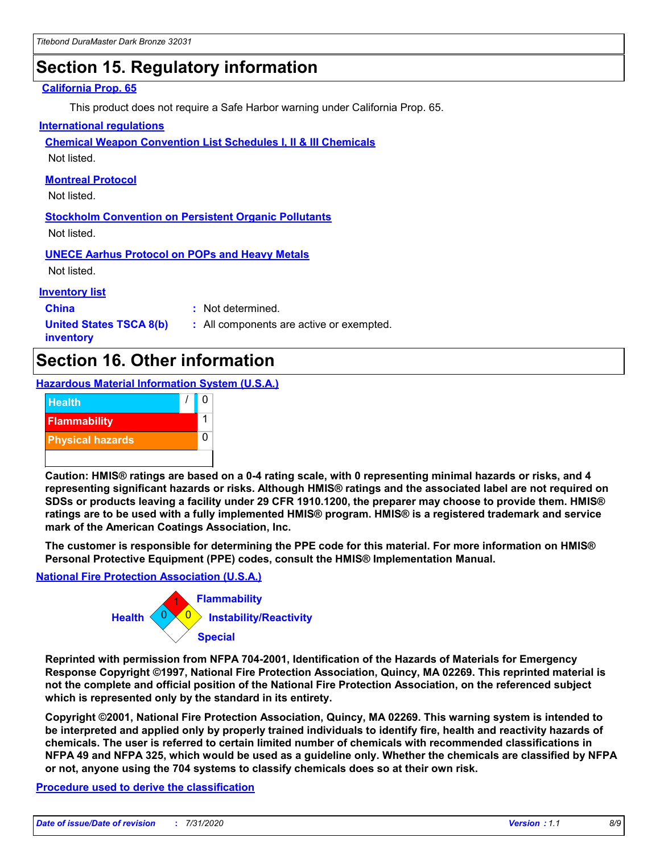## **Section 15. Regulatory information**

#### **California Prop. 65**

This product does not require a Safe Harbor warning under California Prop. 65.

#### **International regulations**

**Chemical Weapon Convention List Schedules I, II & III Chemicals**

Not listed.

#### **Montreal Protocol**

Not listed.

**Stockholm Convention on Persistent Organic Pollutants** Not listed.

**UNECE Aarhus Protocol on POPs and Heavy Metals**

Not listed.

#### **Inventory list**

**China :** Not determined.

**United States TSCA 8(b) inventory**

**:** All components are active or exempted.

## **Section 16. Other information**

**Hazardous Material Information System (U.S.A.)**



**Caution: HMIS® ratings are based on a 0-4 rating scale, with 0 representing minimal hazards or risks, and 4 representing significant hazards or risks. Although HMIS® ratings and the associated label are not required on SDSs or products leaving a facility under 29 CFR 1910.1200, the preparer may choose to provide them. HMIS® ratings are to be used with a fully implemented HMIS® program. HMIS® is a registered trademark and service mark of the American Coatings Association, Inc.**

**The customer is responsible for determining the PPE code for this material. For more information on HMIS® Personal Protective Equipment (PPE) codes, consult the HMIS® Implementation Manual.**

#### **National Fire Protection Association (U.S.A.)**



**Reprinted with permission from NFPA 704-2001, Identification of the Hazards of Materials for Emergency Response Copyright ©1997, National Fire Protection Association, Quincy, MA 02269. This reprinted material is not the complete and official position of the National Fire Protection Association, on the referenced subject which is represented only by the standard in its entirety.**

**Copyright ©2001, National Fire Protection Association, Quincy, MA 02269. This warning system is intended to be interpreted and applied only by properly trained individuals to identify fire, health and reactivity hazards of chemicals. The user is referred to certain limited number of chemicals with recommended classifications in NFPA 49 and NFPA 325, which would be used as a guideline only. Whether the chemicals are classified by NFPA or not, anyone using the 704 systems to classify chemicals does so at their own risk.**

#### **Procedure used to derive the classification**